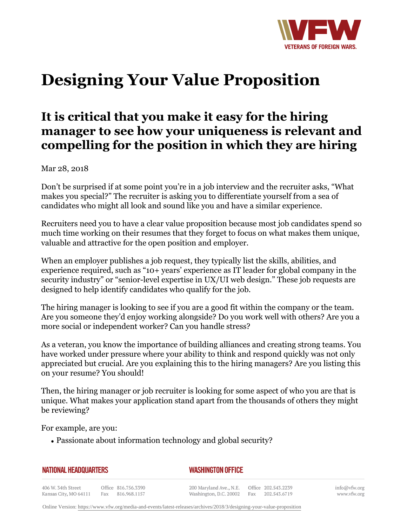

## **Designing Your Value Proposition**

## **It is critical that you make it easy for the hiring manager to see how your uniqueness is relevant and compelling for the position in which they are hiring**

Mar 28, 2018

Don't be surprised if at some point you're in a job interview and the recruiter asks, "What makes you special?" The recruiter is asking you to differentiate yourself from a sea of candidates who might all look and sound like you and have a similar experience.

Recruiters need you to have a clear value proposition because most job candidates spend so much time working on their resumes that they forget to focus on what makes them unique, valuable and attractive for the open position and employer.

When an employer publishes a job request, they typically list the skills, abilities, and experience required, such as "10+ years' experience as IT leader for global company in the security industry" or "senior-level expertise in UX/UI web design." These job requests are designed to help identify candidates who qualify for the job.

The hiring manager is looking to see if you are a good fit within the company or the team. Are you someone they'd enjoy working alongside? Do you work well with others? Are you a more social or independent worker? Can you handle stress?

As a veteran, you know the importance of building alliances and creating strong teams. You have worked under pressure where your ability to think and respond quickly was not only appreciated but crucial. Are you explaining this to the hiring managers? Are you listing this on your resume? You should!

Then, the hiring manager or job recruiter is looking for some aspect of who you are that is unique. What makes your application stand apart from the thousands of others they might be reviewing?

For example, are you:

• Passionate about information technology and global security?

| <b>NATIONAL HEADQUARTERS</b>                |  |                                         | <b>WASHINGTON OFFICE</b>                          |  |  |                                         |
|---------------------------------------------|--|-----------------------------------------|---------------------------------------------------|--|--|-----------------------------------------|
| 406 W. 34th Street<br>Kansas City, MO 64111 |  | Office 816.756.3390<br>Fax 816.968.1157 | 200 Maryland Ave., N.E.<br>Washington, D.C. 20002 |  |  | Office 202.543.2239<br>Fax 202.543.6719 |

info@vfw.org www.vfw.org

Online Version:<https://www.vfw.org/media-and-events/latest-releases/archives/2018/3/designing-your-value-proposition>